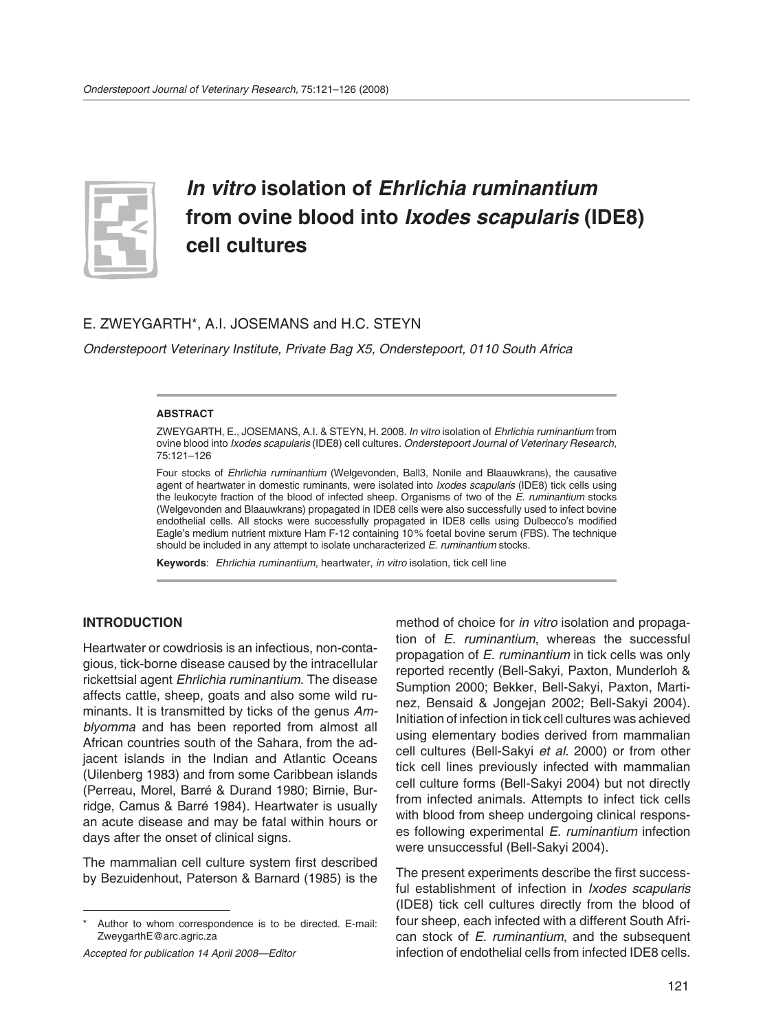

# *In vitro* **isolation of** *Ehrlichia ruminantium* **from ovine blood into** *Ixodes scapularis* **(IDE8) cell cultures**

## E. ZWEYGARTH\*, A.I. JOSEMANS and H.C. STEYN

*Onderstepoort Veterinary Institute, Private Bag X5, Onderstepoort, 0110 South Africa*

#### **ABSTRACT**

ZWEYGARTH, E., JOSEMANS, A.I. & STEYN, H. 2008. *In vitro* isolation of *Ehrlichia ruminantium* from ovine blood into *Ixodes scapularis* (IDE8) cell cultures. *Onderstepoort Journal of Veterinary Research,* 75:121–126

Four stocks of *Ehrlichia ruminantium* (Welgevonden, Ball3, Nonile and Blaauwkrans), the causative agent of heartwater in domestic ruminants, were isolated into *Ixodes scapularis* (IDE8) tick cells using the leukocyte fraction of the blood of infected sheep. Organisms of two of the *E. ruminantium* stocks (Welgevonden and Blaauwkrans) propagated in IDE8 cells were also successfully used to infect bovine endothelial cells. All stocks were successfully propagated in IDE8 cells using Dulbecco's modified Eagle's medium nutrient mixture Ham F-12 containing 10 % foetal bovine serum (FBS). The technique should be included in any attempt to isolate uncharacterized *E. ruminantium* stocks.

**Keywords**: *Ehrlichia ruminantium*, heartwater, *in vitro* isolation, tick cell line

## **INTRODUCTION**

Heartwater or cowdriosis is an infectious, non-contagious, tick-borne disease caused by the intracellular rickettsial agent *Ehrlichia ruminantium*. The disease affects cattle, sheep, goats and also some wild ruminants. It is transmitted by ticks of the genus *Amblyomma* and has been reported from almost all African countries south of the Sahara, from the adjacent islands in the Indian and Atlantic Oceans (Uilenberg 1983) and from some Caribbean islands (Perreau, Morel, Barré & Durand 1980; Birnie, Burridge, Camus & Barré 1984). Heartwater is usually an acute disease and may be fatal within hours or days after the onset of clinical signs.

The mammalian cell culture system first described by Bezuidenhout, Paterson & Barnard (1985) is the

method of choice for *in vitro* isolation and propagation of *E. ruminantium*, whereas the successful prop agation of *E. ruminantium* in tick cells was only reported recently (Bell-Sakyi, Paxton, Munderloh & Sumption 2000; Bekker, Bell-Sakyi, Paxton, Martinez, Bensaid & Jongejan 2002; Bell-Sakyi 2004). Initiation of infection in tick cell cultures was achieved using elementary bodies derived from mammalian cell cultures (Bell-Sakyi *et al.* 2000) or from other tick cell lines previously infected with mammalian cell culture forms (Bell-Sakyi 2004) but not directly from infected animals. Attempts to infect tick cells with blood from sheep undergoing clinical responses following experimental *E. ruminantium* infection were unsuccessful (Bell-Sakyi 2004).

The present experiments describe the first successful establishment of infection in *Ixodes scapularis* (IDE8) tick cell cultures directly from the blood of four sheep, each infected with a different South African stock of *E. ruminantium*, and the subsequent infection of endothelial cells from infected IDE8 cells.

Author to whom correspondence is to be directed. E-mail: ZweygarthE@arc.agric.za

*Accepted for publication 14 April 2008—Editor*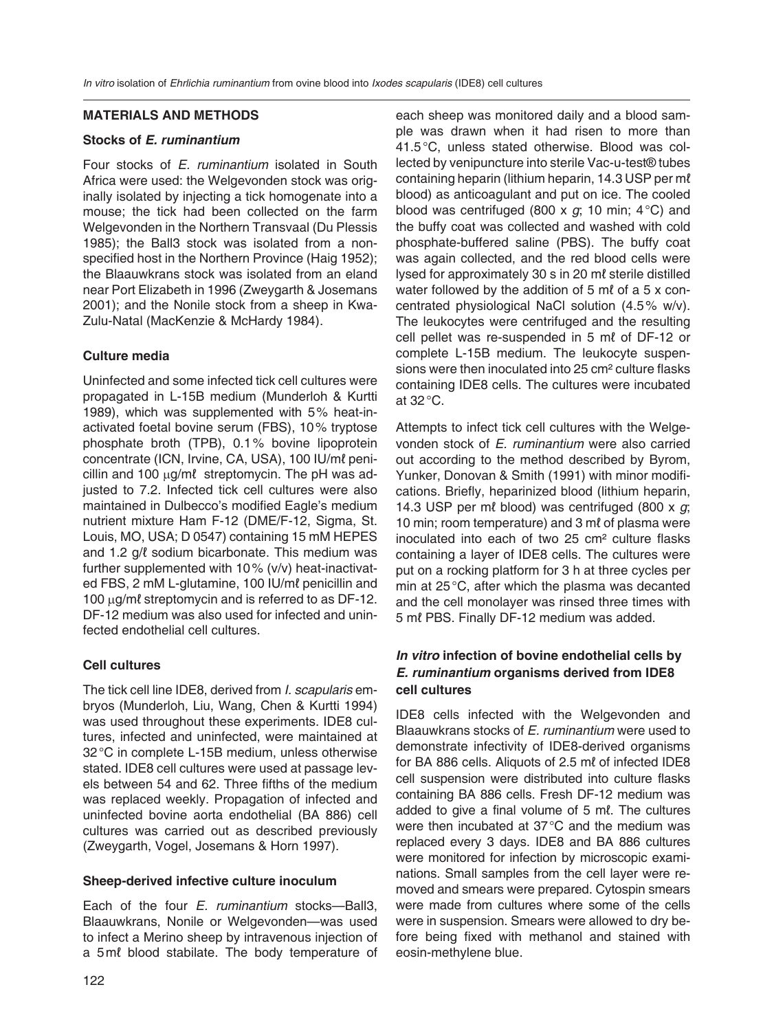#### **MATERIALS AND METHODS**

### **Stocks of** *E. ruminantium*

Four stocks of *E. ruminantium* isolated in South Africa were used: the Welgevonden stock was originally isolated by injecting a tick homogenate into a mouse; the tick had been collected on the farm Welgevonden in the Northern Transvaal (Du Plessis 1985); the Ball3 stock was isolated from a nonspecified host in the Northern Province (Haig 1952); the Blaauwkrans stock was isolated from an eland near Port Elizabeth in 1996 (Zweygarth & Josemans 2001); and the Nonile stock from a sheep in Kwa-Zulu-Natal (MacKenzie & McHardy 1984).

## **Culture media**

Uninfected and some infected tick cell cultures were propagated in L-15B medium (Munderloh & Kurtti 1989), which was supplemented with 5 % heat-inactivated foetal bovine serum (FBS), 10 % tryptose phosphate broth (TPB), 0.1 % bovine lipoprotein concentrate (ICN, Irvine, CA, USA), 100 IU/ml penicillin and 100 μg/mℓstreptomycin. The pH was adjusted to 7.2. Infected tick cell cultures were also maintained in Dulbecco's modified Eagle's medium nutrient mixture Ham F-12 (DME/F-12, Sigma, St. Louis, MO, USA; D 0547) containing 15 mM HEPES and 1.2 g/ℓ sodium bicarbonate. This medium was further supplemented with 10 % (v/v) heat-inactivated FBS, 2 mM L-glutamine, 100 IU/mℓ penicillin and 100 μg/mℓ streptomycin and is referred to as DF-12. DF-12 medium was also used for infected and uninfected endothelial cell cultures.

## **Cell cultures**

The tick cell line IDE8, derived from *I. scapularis* embryos (Munderloh, Liu, Wang, Chen & Kurtti 1994) was used throughout these experiments. IDE8 cultures, infected and uninfected, were maintained at 32 °C in complete L-15B medium, unless otherwise stated. IDE8 cell cultures were used at passage levels between 54 and 62. Three fifths of the medium was replaced weekly. Propagation of infected and un infected bovine aorta endothelial (BA 886) cell cultures was carried out as described previously (Zweygarth, Vogel, Josemans & Horn 1997).

#### **Sheep-derived infective culture inoculum**

Each of the four *E. ruminantium* stocks—Ball3, Blaauwkrans, Nonile or Welgevonden—was used to infect a Merino sheep by intravenous injection of a 5 ml blood stabilate. The body temperature of

each sheep was monitored daily and a blood sample was drawn when it had risen to more than 41.5 °C, unless stated otherwise. Blood was collected by venipuncture into sterile Vac-u-test® tubes containing heparin (lithium heparin, 14.3 USP per mℓ blood) as anticoagulant and put on ice. The cooled blood was centrifuged (800 x *g*; 10 min; 4 °C) and the buffy coat was collected and washed with cold phosphate-buffered saline (PBS). The buffy coat was again collected, and the red blood cells were lysed for approximately 30 s in 20 mℓ sterile distilled water followed by the addition of 5 ml of a 5 x concentrated physiological NaCl solution (4.5 % w/v). The leukocytes were centrifuged and the resulting cell pellet was re-suspended in 5 mℓ of DF-12 or complete L-15B medium. The leukocyte suspensions were then inoculated into 25 cm² culture flasks containing IDE8 cells. The cultures were incubated at 32 °C.

Attempts to infect tick cell cultures with the Welgevonden stock of *E. ruminantium* were also carried out according to the method described by Byrom, Yunker, Donovan & Smith (1991) with minor modifications. Briefly, heparinized blood (lithium heparin, 14.3 USP per mℓ blood) was centrifuged (800 x *g*; 10 min; room temperature) and 3 ml of plasma were inoculated into each of two 25 cm² culture flasks containing a layer of IDE8 cells. The cultures were put on a rocking platform for 3 h at three cycles per min at 25 °C, after which the plasma was decanted and the cell monolayer was rinsed three times with 5 ml PBS. Finally DF-12 medium was added.

## *In vitro* **infection of bovine endothelial cells by**  *E. ruminantium* **organisms derived from IDE8 cell cultures**

IDE8 cells infected with the Welgevonden and Blaauwkrans stocks of *E. ruminantium* were used to demonstrate infectivity of IDE8-derived organisms for BA 886 cells. Aliquots of 2.5 ml of infected IDE8 cell suspension were distributed into culture flasks containing BA 886 cells. Fresh DF-12 medium was added to give a final volume of 5 mℓ. The cultures were then incubated at 37 °C and the medium was replaced every 3 days. IDE8 and BA 886 cultures were monitored for infection by microscopic examinations. Small samples from the cell layer were removed and smears were prepared. Cytospin smears were made from cultures where some of the cells were in suspension. Smears were allowed to dry before being fixed with methanol and stained with eosin-methylene blue.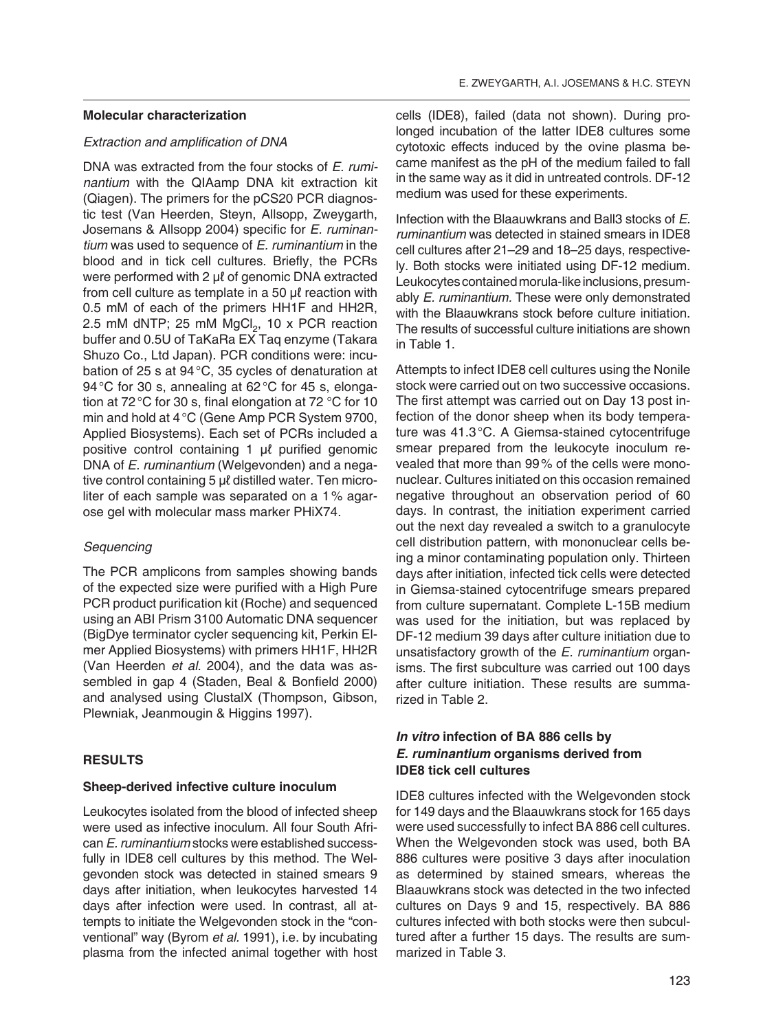#### **Molecular characterization**

#### *Extraction and amplification of DNA*

DNA was extracted from the four stocks of *E. ruminantium* with the QIAamp DNA kit extraction kit (Qiagen). The primers for the pCS20 PCR diagnostic test (Van Heerden, Steyn, Allsopp, Zweygarth, Josemans & Allsopp 2004) specific for *E. ruminantium* was used to sequence of *E. ruminantium* in the blood and in tick cell cultures. Briefly, the PCRs were performed with 2 μℓ of genomic DNA extracted from cell culture as template in a 50 μℓ reaction with 0.5 mM of each of the primers HH1F and HH2R, 2.5 mM dNTP; 25 mM  $MgCl<sub>2</sub>$ , 10 x PCR reaction buffer and 0.5U of TaKaRa EX Taq enzyme (Takara Shuzo Co., Ltd Japan). PCR conditions were: incubation of 25 s at 94 °C, 35 cycles of denaturation at 94 °C for 30 s, annealing at 62 °C for 45 s, elongation at 72 °C for 30 s, final elongation at 72 °C for 10 min and hold at 4 °C (Gene Amp PCR System 9700, Applied Biosystems). Each set of PCRs included a positive control containing 1 μℓ purified genomic DNA of *E. ruminantium* (Welgevonden) and a negative control containing 5 μℓ distilled water. Ten microliter of each sample was separated on a 1 % agarose gel with molecular mass marker PHiX74.

## *Sequencing*

The PCR amplicons from samples showing bands of the expected size were purified with a High Pure PCR product purification kit (Roche) and sequenced using an ABI Prism 3100 Automatic DNA sequencer (BigDye terminator cycler sequencing kit, Perkin Elmer Applied Biosystems) with primers HH1F, HH2R (Van Heerden *et al*. 2004), and the data was assembled in gap 4 (Staden, Beal & Bonfield 2000) and analysed using ClustalX (Thompson, Gibson, Plewniak, Jeanmougin & Higgins 1997).

## **RESULTS**

#### **Sheep-derived infective culture inoculum**

Leukocytes isolated from the blood of infected sheep were used as infective inoculum. All four South African *E. ruminantium* stocks were established successfully in IDE8 cell cultures by this method. The Welgevonden stock was detected in stained smears 9 days after initiation, when leukocytes harvested 14 days after infection were used. In contrast, all attempts to initiate the Welgevonden stock in the "conventional" way (Byrom *et al.* 1991), i.e. by incubating plasma from the infected animal together with host

cells (IDE8), failed (data not shown). During prolonged incubation of the latter IDE8 cultures some cytotoxic effects induced by the ovine plasma became manifest as the pH of the medium failed to fall in the same way as it did in untreated controls. DF-12 medium was used for these experiments.

Infection with the Blaauwkrans and Ball3 stocks of *E. ruminantium* was detected in stained smears in IDE8 cell cultures after 21–29 and 18–25 days, respectively. Both stocks were initiated using DF-12 medium. Leukocytes contained morula-like inclusions, presumably *E. ruminantium.* These were only demonstrated with the Blaauwkrans stock before culture initiation. The results of successful culture initiations are shown in Table 1.

Attempts to infect IDE8 cell cultures using the Nonile stock were carried out on two successive occasions. The first attempt was carried out on Day 13 post infection of the donor sheep when its body temperature was 41.3 °C. A Giemsa-stained cytocentrifuge smear prepared from the leukocyte inoculum revealed that more than 99 % of the cells were mononuclear. Cultures initiated on this occasion remained negative throughout an observation period of 60 days. In contrast, the initiation experiment carried out the next day revealed a switch to a granulocyte cell distribution pattern, with mononuclear cells being a minor contaminating population only. Thirteen days after initiation, infected tick cells were detected in Giemsa-stained cytocentrifuge smears prepared from culture supernatant. Complete L-15B medium was used for the initiation, but was replaced by DF-12 medium 39 days after culture initiation due to unsatisfactory growth of the *E. ruminantium* organisms. The first subculture was carried out 100 days after culture initiation. These results are summarized in Table 2.

## *In vitro* **infection of BA 886 cells by** *E. ruminantium* **organisms derived from IDE8 tick cell cultures**

IDE8 cultures infected with the Welgevonden stock for 149 days and the Blaauwkrans stock for 165 days were used successfully to infect BA 886 cell cultures. When the Welgevonden stock was used, both BA 886 cultures were positive 3 days after inoculation as determined by stained smears, whereas the Blaauwkrans stock was detected in the two infected cultures on Days 9 and 15, respectively. BA 886 cultures infected with both stocks were then subcultured after a further 15 days. The results are summarized in Table 3.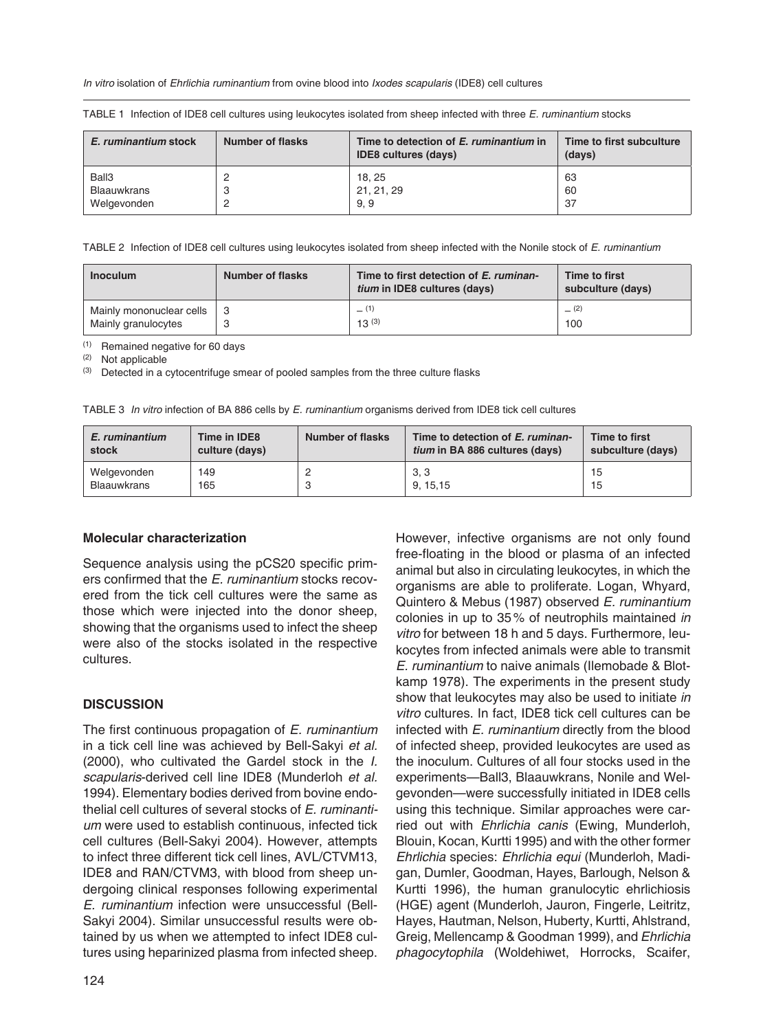*In vitro* isolation of *Ehrlichia ruminantium* from ovine blood into *Ixodes scapularis* (IDE8) cell cultures

| E. ruminantium stock | Number of flasks | Time to detection of E. ruminantium in<br><b>IDE8 cultures (days)</b> | Time to first subculture<br>(days) |  |  |  |
|----------------------|------------------|-----------------------------------------------------------------------|------------------------------------|--|--|--|
| Ball3                |                  | 18, 25                                                                | 63                                 |  |  |  |
| <b>Blaauwkrans</b>   |                  | 21, 21, 29                                                            | 60                                 |  |  |  |
| Welgevonden          |                  | 9.9                                                                   | 37                                 |  |  |  |

TABLE 1 Infection of IDE8 cell cultures using leukocytes isolated from sheep infected with three *E. ruminantium* stocks

TABLE 2 Infection of IDE8 cell cultures using leukocytes isolated from sheep infected with the Nonile stock of *E. ruminantium*

| <b>Inoculum</b>          | <b>Number of flasks</b> | Time to first detection of E. ruminan-<br><i>tium</i> in IDE8 cultures (days) | Time to first<br>subculture (days) |  |
|--------------------------|-------------------------|-------------------------------------------------------------------------------|------------------------------------|--|
| Mainly mononuclear cells |                         | (1)                                                                           | (2)                                |  |
| Mainly granulocytes      |                         | 13(3)                                                                         | 100                                |  |

(1) Remained negative for 60 days

(2) Not applicable

(3) Detected in a cytocentrifuge smear of pooled samples from the three culture flasks

| TABLE 3 In vitro infection of BA 886 cells by E. ruminantium organisms derived from IDE8 tick cell cultures |  |  |  |  |  |
|-------------------------------------------------------------------------------------------------------------|--|--|--|--|--|
|                                                                                                             |  |  |  |  |  |

| E. ruminantium     | Time in IDE8   | Number of flasks | Time to detection of E. ruminan-      | Time to first     |  |  |
|--------------------|----------------|------------------|---------------------------------------|-------------------|--|--|
| stock              | culture (days) |                  | <i>tium</i> in BA 886 cultures (days) | subculture (days) |  |  |
| Welgevonden        | 149            |                  | 3, 3                                  | 15                |  |  |
| <b>Blaauwkrans</b> | 165            |                  | 9.15.15                               | 15                |  |  |

#### **Molecular characterization**

Sequence analysis using the pCS20 specific primers confirmed that the *E. ruminantium* stocks recovered from the tick cell cultures were the same as those which were injected into the donor sheep, showing that the organisms used to infect the sheep were also of the stocks isolated in the respective cultures.

#### **DISCUSSION**

The first continuous propagation of *E. ruminantium*  in a tick cell line was achieved by Bell-Sakyi *et al.* (2000), who cultivated the Gardel stock in the *I. scapularis*-derived cell line IDE8 (Munderloh *et al.* 1994). Elementary bodies derived from bovine endothelial cell cultures of several stocks of *E. ruminantium* were used to establish continuous, infected tick cell cultures (Bell-Sakyi 2004). However, attempts to infect three different tick cell lines, AVL/CTVM13, IDE8 and RAN/CTVM3, with blood from sheep undergoing clinical responses following experimental *E. ruminantium* infection were unsuccessful (Bell-Sakyi 2004). Similar unsuccessful results were obtained by us when we attempted to infect IDE8 cultures using heparinized plasma from infected sheep.

free-floating in the blood or plasma of an infected animal but also in circulating leukocytes, in which the organisms are able to proliferate. Logan, Whyard, Quintero & Mebus (1987) observed *E. ruminantium* colonies in up to 35 % of neutrophils maintained *in vitro* for between 18 h and 5 days. Furthermore, leukocytes from infected animals were able to transmit *E. ruminantium* to naive animals (Ilemobade & Blotkamp 1978). The experiments in the present study show that leukocytes may also be used to initiate *in vitro* cultures. In fact, IDE8 tick cell cultures can be infected with *E. ruminantium* directly from the blood of infected sheep, provided leukocytes are used as the inoculum. Cultures of all four stocks used in the experiments—Ball3, Blaauwkrans, Nonile and Welge vonden—were successfully initiated in IDE8 cells using this technique. Similar approaches were carried out with *Ehrlichia canis* (Ewing, Munderloh, Blouin, Kocan, Kurtti 1995) and with the other former *Ehrlichia* species: *Ehrlichia equi* (Munderloh, Madigan, Dumler, Goodman, Hayes, Barlough, Nelson & Kurtti 1996), the human granulocytic ehrlichiosis (HGE) agent (Munderloh, Jauron, Fingerle, Leitritz, Hayes, Hautman, Nelson, Huberty, Kurtti, Ahlstrand, Greig, Mellencamp & Goodman 1999), and *Ehrlichia phagocytophila* (Woldehiwet, Horrocks, Scaifer,

However, infective organisms are not only found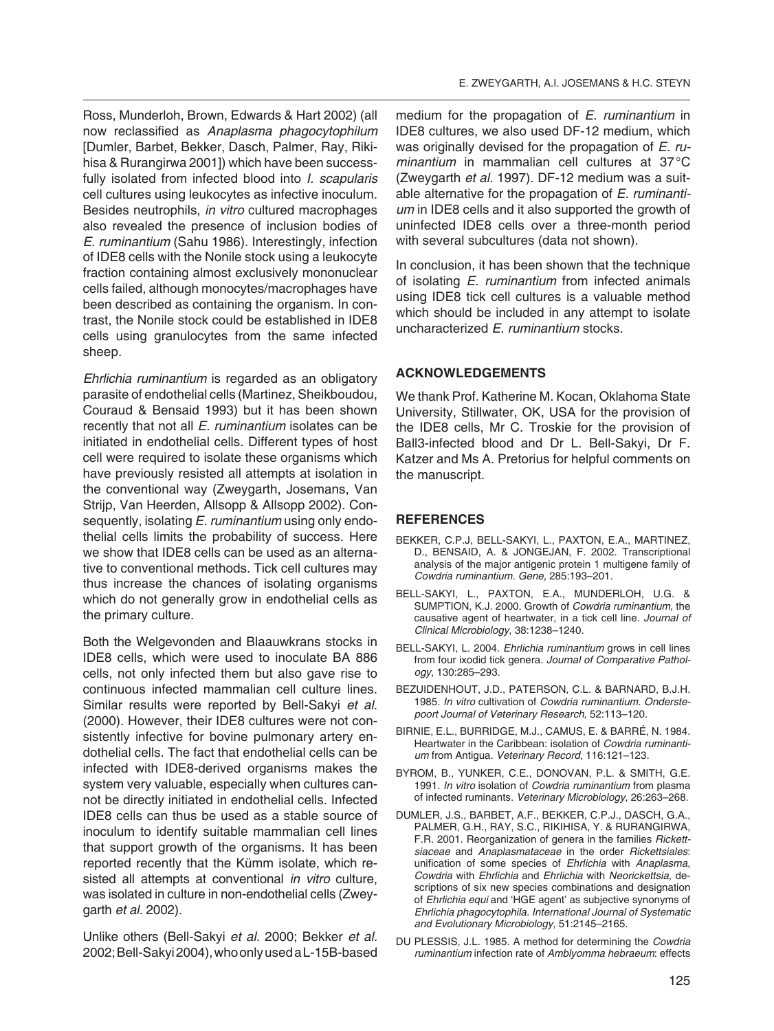Ross, Munderloh, Brown, Edwards & Hart 2002) (all now reclassified as *Anaplasma phagocytophilum* [Dumler, Barbet, Bekker, Dasch, Palmer, Ray, Rikihisa & Rurangirwa 2001]) which have been successfully isolated from infected blood into *I. scapularis* cell cultures using leukocytes as infective inoculum. Besides neutrophils, *in vitro* cultured macrophages also revealed the presence of inclusion bodies of *E. ruminantium* (Sahu 1986). Interestingly, infection of IDE8 cells with the Nonile stock using a leukocyte fraction containing almost exclusively mononuclear cells failed, although monocytes/macrophages have been described as containing the organism. In contrast, the Nonile stock could be established in IDE8 cells using granulocytes from the same infected sheep.

*Ehrlichia ruminantium* is regarded as an obligatory parasite of endothelial cells (Martinez, Sheikboudou, Couraud & Bensaid 1993) but it has been shown recently that not all *E. ruminantium* isolates can be initiated in endothelial cells. Different types of host cell were required to isolate these organisms which have previously resisted all attempts at isolation in the conventional way (Zweygarth, Josemans, Van Strijp, Van Heerden, Allsopp & Allsopp 2002). Consequently, isolating *E. ruminantium* using only endothelial cells limits the probability of success. Here we show that IDE8 cells can be used as an alternative to conventional methods. Tick cell cultures may thus increase the chances of isolating organisms which do not generally grow in endothelial cells as the primary culture.

Both the Welgevonden and Blaauwkrans stocks in IDE8 cells, which were used to inoculate BA 886 cells, not only infected them but also gave rise to continuous infected mammalian cell culture lines. Similar results were reported by Bell-Sakyi *et al*. (2000). However, their IDE8 cultures were not consistently infective for bovine pulmonary artery endothelial cells. The fact that endothelial cells can be infected with IDE8-derived organisms makes the system very valuable, especially when cultures cannot be directly initiated in endothelial cells. Infected IDE8 cells can thus be used as a stable source of inoculum to identify suitable mammalian cell lines that support growth of the organisms. It has been reported recently that the Kümm isolate, which resisted all attempts at conventional *in vitro* culture, was isolated in culture in non-endothelial cells (Zweygarth *et al.* 2002).

Unlike others (Bell-Sakyi *et al.* 2000; Bekker *et al.* 2002; Bell-Sakyi 2004), who only used a L-15B-based

medium for the propagation of *E. ruminantium* in IDE8 cultures, we also used DF-12 medium, which was originally devised for the propagation of *E. ruminantium* in mammalian cell cultures at 37 °C (Zweygarth *et al.* 1997). DF-12 medium was a suitable alternative for the propagation of *E. ruminantium* in IDE8 cells and it also supported the growth of uninfected IDE8 cells over a three-month period with several subcultures (data not shown).

In conclusion, it has been shown that the technique of isolating *E. ruminantium* from infected animals using IDE8 tick cell cultures is a valuable method which should be included in any attempt to isolate uncharacterized *E. ruminantium* stocks.

## **ACKNOWLEDGEMENTS**

We thank Prof. Katherine M. Kocan, Oklahoma State University, Stillwater, OK, USA for the provision of the IDE8 cells, Mr C. Troskie for the provision of Ball3-infected blood and Dr L. Bell-Sakyi, Dr F. Katzer and Ms A. Pretorius for helpful comments on the manuscript.

### **REFERENCES**

- BEKKER, C.P.J, BELL-SAKYI, L., PAXTON, E.A., MARTINEZ, D., BENSAID, A. & JONGEJAN, F. 2002. Transcriptional analysis of the major antigenic protein 1 multigene family of *Cowdria ruminantium*. *Gene*, 285:193–201.
- BELL-SAKYI, L., PAXTON, E.A., MUNDERLOH, U.G. & SUMPTION, K.J. 2000. Growth of *Cowdria ruminantium*, the causative agent of heartwater, in a tick cell line. *Journal of Clinical Microbiology*, 38:1238–1240.
- BELL-SAKYI, L. 2004. *Ehrlichia ruminantium* grows in cell lines from four ixodid tick genera*. Journal of Comparative Pathology*, 130:285–293.
- BEZUIDENHOUT, J.D., PATERSON, C.L. & BARNARD, B.J.H. 1985. *In vitro* cultivation of *Cowdria ruminantium*. *Onderstepoort Journal of Veterinary Research*, 52:113–120.
- BIRNIE, E.L., BURRIDGE, M.J., CAMUS, E. & BARRÉ, N. 1984. Heartwater in the Caribbean: isolation of *Cowdria ruminantium* from Antigua. *Veterinary Record*, 116:121–123.
- BYROM, B., YUNKER, C.E., DONOVAN, P.L. & SMITH, G.E. 1991. *In vitro* isolation of *Cowdria ruminantium* from plasma of infected ruminants. *Veterinary Microbiology*, 26:263–268.
- DUMLER, J.S., BARBET, A.F., BEKKER, C.P.J., DASCH, G.A., PALMER, G.H., RAY, S.C., RIKIHISA, Y. & RURANGIRWA, F.R. 2001. Reorganization of genera in the families *Rickettsiaceae* and *Anaplasmataceae* in the order *Rickettsiales*: unification of some species of *Ehrlichia* with *Anaplasma*, *Cowdria* with *Ehrlichia* and *Ehrlichia* with *Neorickettsia,* descriptions of six new species combinations and designation of *Ehrlichia equi* and 'HGE agent' as subjective synonyms of *Ehrlichia phagocytophila. International Journal of Systematic and Evolutionary Microbiology*, 51:2145–2165.
- DU PLESSIS, J.L. 1985. A method for determining the *Cowdria ruminantium* infection rate of *Amblyomma hebraeum*: effects